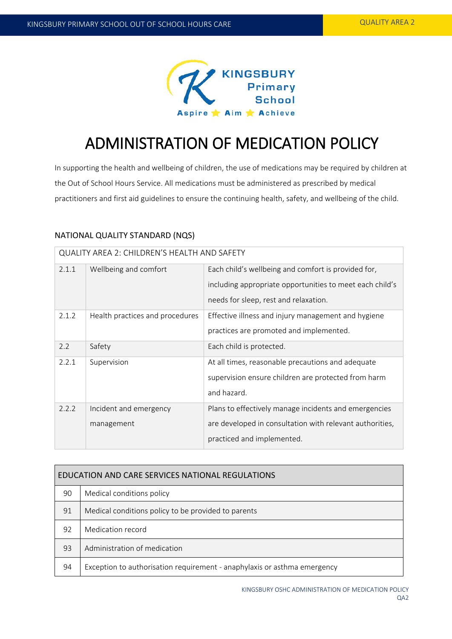

# ADMINISTRATION OF MEDICATION POLICY

In supporting the health and wellbeing of children, the use of medications may be required by children at the Out of School Hours Service. All medications must be administered as prescribed by medical practitioners and first aid guidelines to ensure the continuing health, safety, and wellbeing of the child.

# NATIONAL QUALITY STANDARD (NQS)

| QUALITY AREA 2: CHILDREN'S HEALTH AND SAFETY |                                      |                                                                                                                                                          |  |  |  |
|----------------------------------------------|--------------------------------------|----------------------------------------------------------------------------------------------------------------------------------------------------------|--|--|--|
| 2.1.1                                        | Wellbeing and comfort                | Each child's wellbeing and comfort is provided for,<br>including appropriate opportunities to meet each child's<br>needs for sleep, rest and relaxation. |  |  |  |
| 2.1.2                                        | Health practices and procedures      | Effective illness and injury management and hygiene<br>practices are promoted and implemented.                                                           |  |  |  |
| 2.2                                          | Safety                               | Each child is protected.                                                                                                                                 |  |  |  |
| 2.2.1                                        | Supervision                          | At all times, reasonable precautions and adequate<br>supervision ensure children are protected from harm<br>and hazard.                                  |  |  |  |
| 2.2.2                                        | Incident and emergency<br>management | Plans to effectively manage incidents and emergencies<br>are developed in consultation with relevant authorities,<br>practiced and implemented.          |  |  |  |

| EDUCATION AND CARE SERVICES NATIONAL REGULATIONS |                                                                          |  |  |
|--------------------------------------------------|--------------------------------------------------------------------------|--|--|
| 90                                               | Medical conditions policy                                                |  |  |
| 91                                               | Medical conditions policy to be provided to parents                      |  |  |
| 92                                               | Medication record                                                        |  |  |
| 93                                               | Administration of medication                                             |  |  |
| 94                                               | Exception to authorisation requirement - anaphylaxis or asthma emergency |  |  |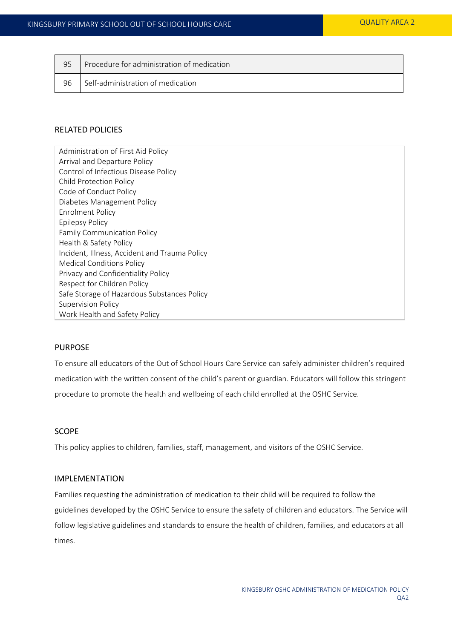| 95 | Procedure for administration of medication |
|----|--------------------------------------------|
| 96 | Self-administration of medication          |

## RELATED POLICIES

Administration of First Aid Policy Arrival and Departure Policy Control of Infectious Disease Policy Child Protection Policy Code of Conduct Policy Diabetes Management Policy Enrolment Policy Epilepsy Policy Family Communication Policy Health & Safety Policy Incident, Illness, Accident and Trauma Policy Medical Conditions Policy Privacy and Confidentiality Policy Respect for Children Policy Safe Storage of Hazardous Substances Policy Supervision Policy Work Health and Safety Policy

## PURPOSE

To ensure all educators of the Out of School Hours Care Service can safely administer children's required medication with the written consent of the child's parent or guardian. Educators will follow this stringent procedure to promote the health and wellbeing of each child enrolled at the OSHC Service.

# SCOPE

This policy applies to children, families, staff, management, and visitors of the OSHC Service.

## IMPLEMENTATION

Families requesting the administration of medication to their child will be required to follow the guidelines developed by the OSHC Service to ensure the safety of children and educators. The Service will follow legislative guidelines and standards to ensure the health of children, families, and educators at all times.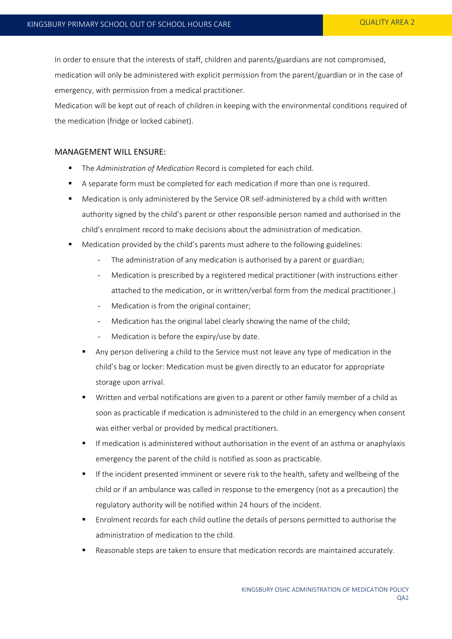In order to ensure that the interests of staff, children and parents/guardians are not compromised, medication will only be administered with explicit permission from the parent/guardian or in the case of emergency, with permission from a medical practitioner.

Medication will be kept out of reach of children in keeping with the environmental conditions required of the medication (fridge or locked cabinet).

#### MANAGEMENT WILL ENSURE:

- The *Administration of Medication* Record is completed for each child.
- A separate form must be completed for each medication if more than one is required.
- Medication is only administered by the Service OR self-administered by a child with written authority signed by the child's parent or other responsible person named and authorised in the child's enrolment record to make decisions about the administration of medication.
- Medication provided by the child's parents must adhere to the following guidelines:
	- The administration of any medication is authorised by a parent or guardian;
	- Medication is prescribed by a registered medical practitioner (with instructions either attached to the medication, or in written/verbal form from the medical practitioner.)
	- Medication is from the original container;
	- Medication has the original label clearly showing the name of the child;
	- Medication is before the expiry/use by date.
	- Any person delivering a child to the Service must not leave any type of medication in the child's bag or locker: Medication must be given directly to an educator for appropriate storage upon arrival.
	- Written and verbal notifications are given to a parent or other family member of a child as soon as practicable if medication is administered to the child in an emergency when consent was either verbal or provided by medical practitioners.
	- If medication is administered without authorisation in the event of an asthma or anaphylaxis emergency the parent of the child is notified as soon as practicable.
	- If the incident presented imminent or severe risk to the health, safety and wellbeing of the child or if an ambulance was called in response to the emergency (not as a precaution) the regulatory authority will be notified within 24 hours of the incident.
	- Enrolment records for each child outline the details of persons permitted to authorise the administration of medication to the child.
	- Reasonable steps are taken to ensure that medication records are maintained accurately.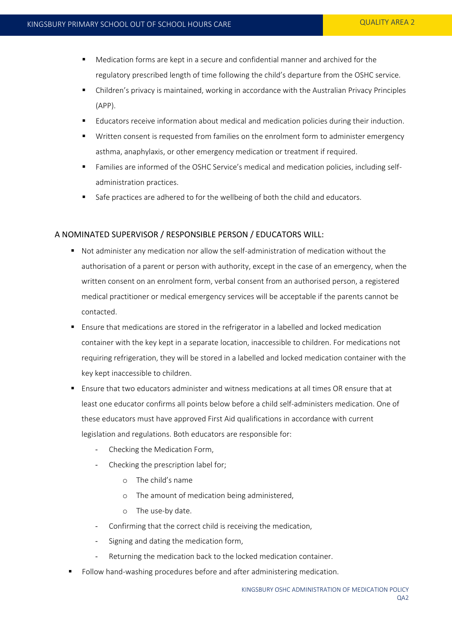- Medication forms are kept in a secure and confidential manner and archived for the regulatory prescribed length of time following the child's departure from the OSHC service.
- Children's privacy is maintained, working in accordance with the Australian Privacy Principles (APP).
- Educators receive information about medical and medication policies during their induction.
- Written consent is requested from families on the enrolment form to administer emergency asthma, anaphylaxis, or other emergency medication or treatment if required.
- Families are informed of the OSHC Service's medical and medication policies, including selfadministration practices.
- Safe practices are adhered to for the wellbeing of both the child and educators.

# A NOMINATED SUPERVISOR / RESPONSIBLE PERSON / EDUCATORS WILL:

- Not administer any medication nor allow the self-administration of medication without the authorisation of a parent or person with authority, except in the case of an emergency, when the written consent on an enrolment form, verbal consent from an authorised person, a registered medical practitioner or medical emergency services will be acceptable if the parents cannot be contacted.
- Ensure that medications are stored in the refrigerator in a labelled and locked medication container with the key kept in a separate location, inaccessible to children. For medications not requiring refrigeration, they will be stored in a labelled and locked medication container with the key kept inaccessible to children.
- Ensure that two educators administer and witness medications at all times OR ensure that at least one educator confirms all points below before a child self-administers medication. One of these educators must have approved First Aid qualifications in accordance with current legislation and regulations. Both educators are responsible for:
	- Checking the Medication Form,
	- Checking the prescription label for;
		- o The child's name
		- o The amount of medication being administered,
		- o The use-by date.
	- Confirming that the correct child is receiving the medication,
	- Signing and dating the medication form,
	- Returning the medication back to the locked medication container.
- Follow hand-washing procedures before and after administering medication.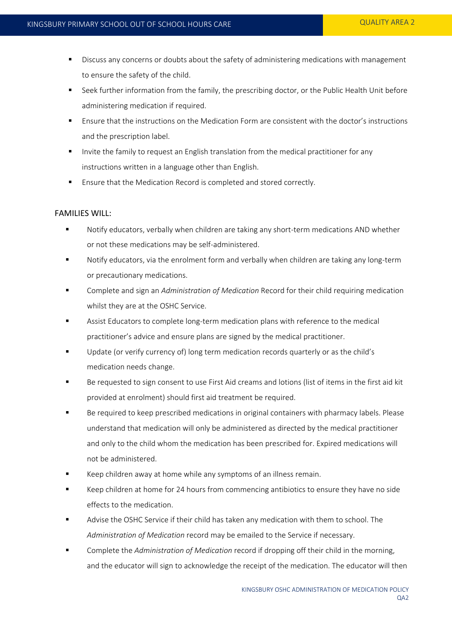- **Discuss any concerns or doubts about the safety of administering medications with management** to ensure the safety of the child.
- **Seek further information from the family, the prescribing doctor, or the Public Health Unit before** administering medication if required.
- Ensure that the instructions on the Medication Form are consistent with the doctor's instructions and the prescription label.
- Invite the family to request an English translation from the medical practitioner for any instructions written in a language other than English.
- **Ensure that the Medication Record is completed and stored correctly.**

#### FAMILIES WILL:

- Notify educators, verbally when children are taking any short-term medications AND whether or not these medications may be self-administered.
- Notify educators, via the enrolment form and verbally when children are taking any long-term or precautionary medications.
- Complete and sign an *Administration of Medication* Record for their child requiring medication whilst they are at the OSHC Service.
- Assist Educators to complete long-term medication plans with reference to the medical practitioner's advice and ensure plans are signed by the medical practitioner.
- Update (or verify currency of) long term medication records quarterly or as the child's medication needs change.
- Be requested to sign consent to use First Aid creams and lotions (list of items in the first aid kit provided at enrolment) should first aid treatment be required.
- Be required to keep prescribed medications in original containers with pharmacy labels. Please understand that medication will only be administered as directed by the medical practitioner and only to the child whom the medication has been prescribed for. Expired medications will not be administered.
- Keep children away at home while any symptoms of an illness remain.
- Keep children at home for 24 hours from commencing antibiotics to ensure they have no side effects to the medication.
- Advise the OSHC Service if their child has taken any medication with them to school. The *Administration of Medication* record may be emailed to the Service if necessary.
- Complete the *Administration of Medication* record if dropping off their child in the morning, and the educator will sign to acknowledge the receipt of the medication. The educator will then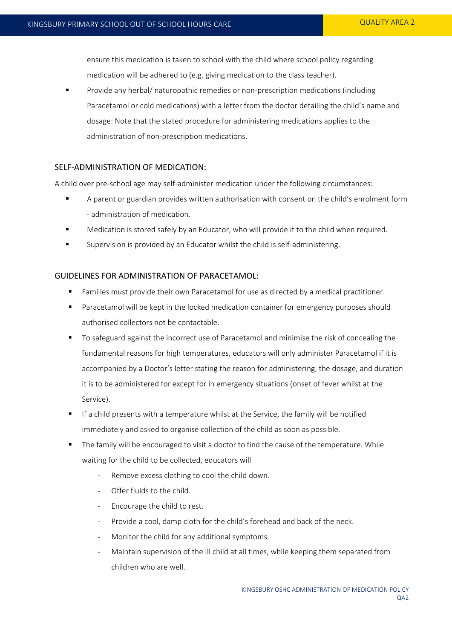ensure this medication is taken to school with the child where school policy regarding medication will be adhered to (e.g. giving medication to the class teacher).

 Provide any herbal/ naturopathic remedies or non-prescription medications (including Paracetamol or cold medications) with a letter from the doctor detailing the child's name and dosage: Note that the stated procedure for administering medications applies to the administration of non-prescription medications.

# SELF-ADMINISTRATION OF MEDICATION:

A child over pre-school age may self-administer medication under the following circumstances:

- A parent or guardian provides written authorisation with consent on the child's enrolment form - administration of medication.
- Medication is stored safely by an Educator, who will provide it to the child when required.
- **Supervision is provided by an Educator whilst the child is self-administering.**

## GUIDELINES FOR ADMINISTRATION OF PARACETAMOL:

- Families must provide their own Paracetamol for use as directed by a medical practitioner.
- Paracetamol will be kept in the locked medication container for emergency purposes should authorised collectors not be contactable.
- To safeguard against the incorrect use of Paracetamol and minimise the risk of concealing the fundamental reasons for high temperatures, educators will only administer Paracetamol if it is accompanied by a Doctor's letter stating the reason for administering, the dosage, and duration it is to be administered for except for in emergency situations (onset of fever whilst at the Service).
- If a child presents with a temperature whilst at the Service, the family will be notified immediately and asked to organise collection of the child as soon as possible.
- The family will be encouraged to visit a doctor to find the cause of the temperature. While waiting for the child to be collected, educators will
	- Remove excess clothing to cool the child down.
	- Offer fluids to the child.
	- Encourage the child to rest.
	- Provide a cool, damp cloth for the child's forehead and back of the neck.
	- Monitor the child for any additional symptoms.
	- Maintain supervision of the ill child at all times, while keeping them separated from children who are well.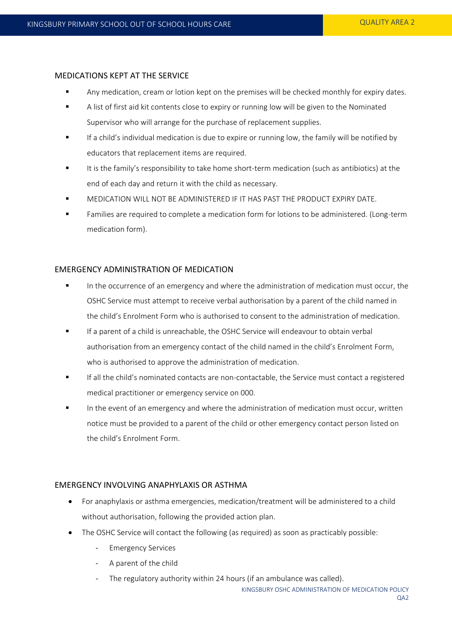#### MEDICATIONS KEPT AT THE SERVICE

- **Any medication, cream or lotion kept on the premises will be checked monthly for expiry dates.**
- A list of first aid kit contents close to expiry or running low will be given to the Nominated Supervisor who will arrange for the purchase of replacement supplies.
- If a child's individual medication is due to expire or running low, the family will be notified by educators that replacement items are required.
- It is the family's responsibility to take home short-term medication (such as antibiotics) at the end of each day and return it with the child as necessary.
- MEDICATION WILL NOT BE ADMINISTERED IF IT HAS PAST THE PRODUCT EXPIRY DATE.
- Families are required to complete a medication form for lotions to be administered. (Long-term medication form).

## EMERGENCY ADMINISTRATION OF MEDICATION

- In the occurrence of an emergency and where the administration of medication must occur, the OSHC Service must attempt to receive verbal authorisation by a parent of the child named in the child's Enrolment Form who is authorised to consent to the administration of medication.
- If a parent of a child is unreachable, the OSHC Service will endeavour to obtain verbal authorisation from an emergency contact of the child named in the child's Enrolment Form, who is authorised to approve the administration of medication.
- If all the child's nominated contacts are non-contactable, the Service must contact a registered medical practitioner or emergency service on 000.
- In the event of an emergency and where the administration of medication must occur, written notice must be provided to a parent of the child or other emergency contact person listed on the child's Enrolment Form.

#### EMERGENCY INVOLVING ANAPHYLAXIS OR ASTHMA

- For anaphylaxis or asthma emergencies, medication/treatment will be administered to a child without authorisation, following the provided action plan.
- The OSHC Service will contact the following (as required) as soon as practicably possible:
	- Emergency Services
	- A parent of the child
	- The regulatory authority within 24 hours (if an ambulance was called).

KINGSBURY OSHC ADMINISTRATION OF MEDICATION POLICY